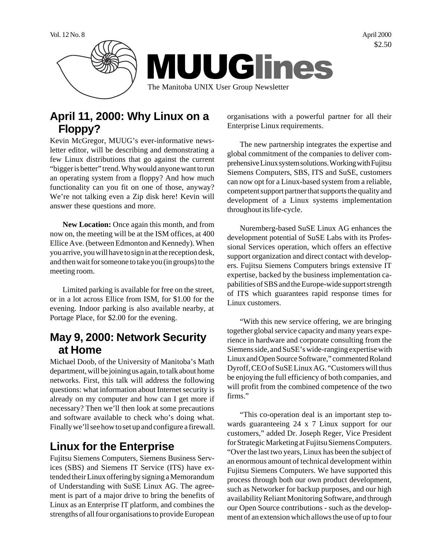

# **April 11, 2000: Why Linux on a Floppy?**

Kevin McGregor, MUUG's ever-informative newsletter editor, will be describing and demonstrating a few Linux distributions that go against the current "bigger is better" trend. Why would anyone want to run an operating system from a floppy? And how much functionality can you fit on one of those, anyway? We're not talking even a Zip disk here! Kevin will answer these questions and more.

**New Location:** Once again this month, and from now on, the meeting will be at the ISM offices, at 400 Ellice Ave. (between Edmonton and Kennedy). When you arrive, you will have to sign in at the reception desk, and then wait for someone to take you (in groups) to the meeting room.

Limited parking is available for free on the street, or in a lot across Ellice from ISM, for \$1.00 for the evening. Indoor parking is also available nearby, at Portage Place, for \$2.00 for the evening.

### **May 9, 2000: Network Security at Home**

Michael Doob, of the University of Manitoba's Math department, will be joining us again, to talk about home networks. First, this talk will address the following questions: what information about Internet security is already on my computer and how can I get more if necessary? Then we'll then look at some precautions and software available to check who's doing what. Finally we'll see how to set up and configure a firewall.

# **Linux for the Enterprise**

Fujitsu Siemens Computers, Siemens Business Services (SBS) and Siemens IT Service (ITS) have extended their Linux offering by signing a Memorandum of Understanding with SuSE Linux AG. The agreement is part of a major drive to bring the benefits of Linux as an Enterprise IT platform, and combines the strengths of all four organisations to provide European organisations with a powerful partner for all their Enterprise Linux requirements.

The new partnership integrates the expertise and global commitment of the companies to deliver comprehensive Linux system solutions. Working with Fujitsu Siemens Computers, SBS, ITS and SuSE, customers can now opt for a Linux-based system from a reliable, competent support partner that supports the quality and development of a Linux systems implementation throughout its life-cycle.

Nuremberg-based SuSE Linux AG enhances the development potential of SuSE Labs with its Professional Services operation, which offers an effective support organization and direct contact with developers. Fujitsu Siemens Computers brings extensive IT expertise, backed by the business implementation capabilities of SBS and the Europe-wide support strength of ITS which guarantees rapid response times for Linux customers.

"With this new service offering, we are bringing together global service capacity and many years experience in hardware and corporate consulting from the Siemens side, and SuSE's wide-ranging expertise with Linux and Open Source Software," commented Roland Dyroff, CEO of SuSE Linux AG. "Customers will thus be enjoying the full efficiency of both companies, and will profit from the combined competence of the two firms."

"This co-operation deal is an important step towards guaranteeing 24 x 7 Linux support for our customers," added Dr. Joseph Reger, Vice President for Strategic Marketing at Fujitsu Siemens Computers. "Over the last two years, Linux has been the subject of an enormous amount of technical development within Fujitsu Siemens Computers. We have supported this process through both our own product development, such as Networker for backup purposes, and our high availability Reliant Monitoring Software, and through our Open Source contributions - such as the development of an extension which allows the use of up to four

\$2.50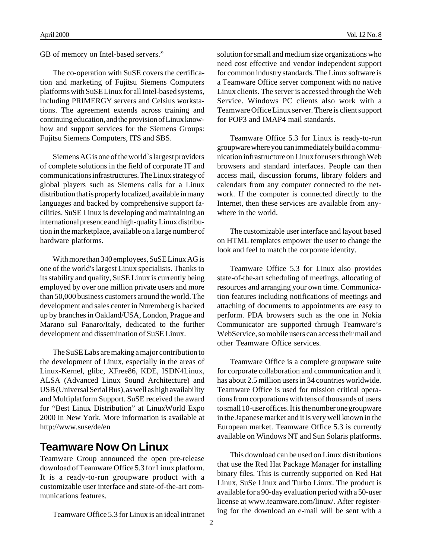GB of memory on Intel-based servers."

The co-operation with SuSE covers the certification and marketing of Fujitsu Siemens Computers platforms with SuSE Linux for all Intel-based systems, including PRIMERGY servers and Celsius workstations. The agreement extends across training and continuing education, and the provision of Linux knowhow and support services for the Siemens Groups: Fujitsu Siemens Computers, ITS and SBS.

Siemens AG is one of the world`s largest providers of complete solutions in the field of corporate IT and communications infrastructures. The Linux strategy of global players such as Siemens calls for a Linux distribution that is properly localized, available in many languages and backed by comprehensive support facilities. SuSE Linux is developing and maintaining an international presence and high-quality Linux distribution in the marketplace, available on a large number of hardware platforms.

With more than 340 employees, SuSE Linux AG is one of the world's largest Linux specialists. Thanks to its stability and quality, SuSE Linux is currently being employed by over one million private users and more than 50,000 business customers around the world. The development and sales center in Nuremberg is backed up by branches in Oakland/USA, London, Prague and Marano sul Panaro/Italy, dedicated to the further development and dissemination of SuSE Linux.

The SuSE Labs are making a major contribution to the development of Linux, especially in the areas of Linux-Kernel, glibc, XFree86, KDE, ISDN4Linux, ALSA (Advanced Linux Sound Architecture) and USB (Universal Serial Bus), as well as high availability and Multiplatform Support. SuSE received the award for "Best Linux Distribution" at LinuxWorld Expo 2000 in New York. More information is available at http://www.suse/de/en

#### **Teamware Now On Linux**

Teamware Group announced the open pre-release download of Teamware Office 5.3 for Linux platform. It is a ready-to-run groupware product with a customizable user interface and state-of-the-art communications features.

Teamware Office 5.3 for Linux is an ideal intranet

solution for small and medium size organizations who need cost effective and vendor independent support for common industry standards. The Linux software is a Teamware Office server component with no native Linux clients. The server is accessed through the Web Service. Windows PC clients also work with a Teamware Office Linux server. There is client support for POP3 and IMAP4 mail standards.

Teamware Office 5.3 for Linux is ready-to-run groupware where you can immediately build a communication infrastructure on Linux for users through Web browsers and standard interfaces. People can then access mail, discussion forums, library folders and calendars from any computer connected to the network. If the computer is connected directly to the Internet, then these services are available from anywhere in the world.

The customizable user interface and layout based on HTML templates empower the user to change the look and feel to match the corporate identity.

Teamware Office 5.3 for Linux also provides state-of-the-art scheduling of meetings, allocating of resources and arranging your own time. Communication features including notifications of meetings and attaching of documents to appointments are easy to perform. PDA browsers such as the one in Nokia Communicator are supported through Teamware's WebService, so mobile users can access their mail and other Teamware Office services.

Teamware Office is a complete groupware suite for corporate collaboration and communication and it has about 2.5 million users in 34 countries worldwide. Teamware Office is used for mission critical operations from corporations with tens of thousands of users to small 10-user offices. It is the number one groupware in the Japanese market and it is very well known in the European market. Teamware Office 5.3 is currently available on Windows NT and Sun Solaris platforms.

This download can be used on Linux distributions that use the Red Hat Package Manager for installing binary files. This is currently supported on Red Hat Linux, SuSe Linux and Turbo Linux. The product is available for a 90-day evaluation period with a 50-user license at www.teamware.com/linux/. After registering for the download an e-mail will be sent with a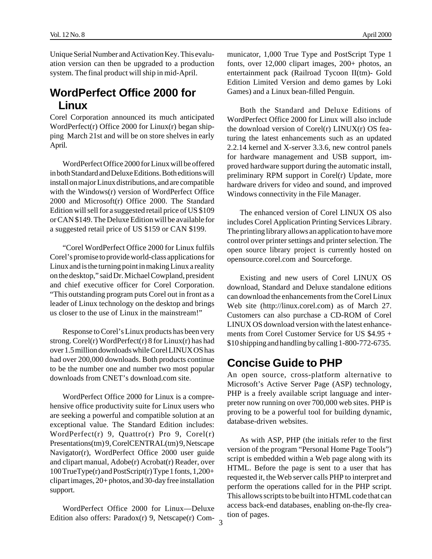Unique Serial Number and Activation Key. This evaluation version can then be upgraded to a production system. The final product will ship in mid-April.

### **WordPerfect Office 2000 for Linux**

Corel Corporation announced its much anticipated WordPerfect(r) Office 2000 for Linux(r) began shipping March 21st and will be on store shelves in early April.

WordPerfect Office 2000 for Linux will be offered in both Standard and Deluxe Editions. Both editions will install on major Linux distributions, and are compatible with the Windows(r) version of WordPerfect Office 2000 and Microsoft(r) Office 2000. The Standard Edition will sell for a suggested retail price of US \$109 or CAN \$149. The Deluxe Edition will be available for a suggested retail price of US \$159 or CAN \$199.

"Corel WordPerfect Office 2000 for Linux fulfils Corel's promise to provide world-class applications for Linux and is the turning point in making Linux a reality on the desktop," said Dr. Michael Cowpland, president and chief executive officer for Corel Corporation. "This outstanding program puts Corel out in front as a leader of Linux technology on the desktop and brings us closer to the use of Linux in the mainstream!"

Response to Corel's Linux products has been very strong. Corel(r) WordPerfect(r) 8 for Linux(r) has had over 1.5 million downloads while Corel LINUX OS has had over 200,000 downloads. Both products continue to be the number one and number two most popular downloads from CNET's download.com site.

WordPerfect Office 2000 for Linux is a comprehensive office productivity suite for Linux users who are seeking a powerful and compatible solution at an exceptional value. The Standard Edition includes: WordPerfect(r) 9, Quattro(r) Pro 9, Corel(r) Presentations(tm) 9, CorelCENTRAL(tm) 9, Netscape Navigator(r), WordPerfect Office 2000 user guide and clipart manual, Adobe(r) Acrobat(r) Reader, over 100 TrueType(r) and PostScript(r) Type 1 fonts, 1,200+ clipart images, 20+ photos, and 30-day free installation support.

Edition also offers: Paradox(r) 9, Netscape(r) Com- $\frac{3}{3}$ WordPerfect Office 2000 for Linux—Deluxe

municator, 1,000 True Type and PostScript Type 1 fonts, over 12,000 clipart images, 200+ photos, an entertainment pack (Railroad Tycoon II(tm)- Gold Edition Limited Version and demo games by Loki Games) and a Linux bean-filled Penguin.

Both the Standard and Deluxe Editions of WordPerfect Office 2000 for Linux will also include the download version of Corel(r) LINUX(r) OS featuring the latest enhancements such as an updated 2.2.14 kernel and X-server 3.3.6, new control panels for hardware management and USB support, improved hardware support during the automatic install, preliminary RPM support in Corel(r) Update, more hardware drivers for video and sound, and improved Windows connectivity in the File Manager.

The enhanced version of Corel LINUX OS also includes Corel Application Printing Services Library. The printing library allows an application to have more control over printer settings and printer selection. The open source library project is currently hosted on opensource.corel.com and Sourceforge.

Existing and new users of Corel LINUX OS download, Standard and Deluxe standalone editions can download the enhancements from the Corel Linux Web site (http://linux.corel.com) as of March 27. Customers can also purchase a CD-ROM of Corel LINUX OS download version with the latest enhancements from Corel Customer Service for US \$4.95 + \$10 shipping and handling by calling 1-800-772-6735.

#### **Concise Guide to PHP**

An open source, cross-platform alternative to Microsoft's Active Server Page (ASP) technology, PHP is a freely available script language and interpreter now running on over 700,000 web sites. PHP is proving to be a powerful tool for building dynamic, database-driven websites.

As with ASP, PHP (the initials refer to the first version of the program "Personal Home Page Tools") script is embedded within a Web page along with its HTML. Before the page is sent to a user that has requested it, the Web server calls PHP to interpret and perform the operations called for in the PHP script. This allows scripts to be built into HTML code that can access back-end databases, enabling on-the-fly creation of pages.